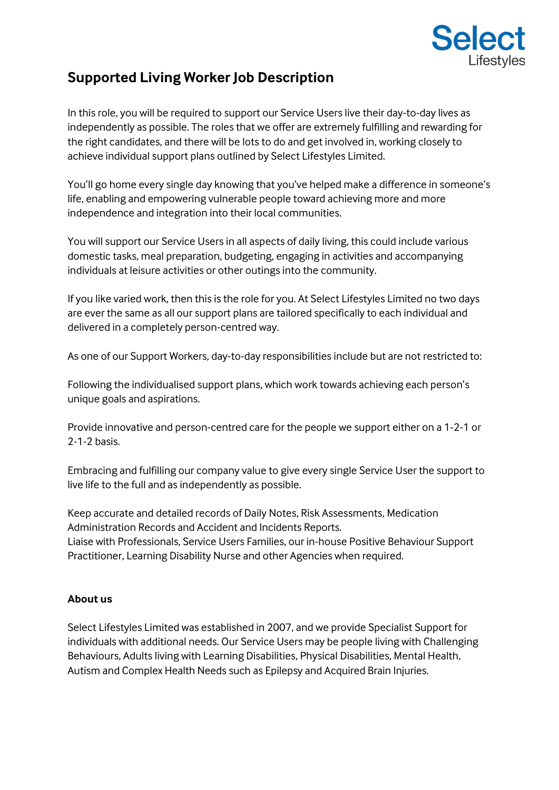

# **Supported Living Worker Job Description**

In this role, you will be required to support our Service Users live their day-to-day lives as independently as possible. The roles that we offer are extremely fulfilling and rewarding for the right candidates, and there will be lots to do and get involved in, working closely to achieve individual support plans outlined by Select Lifestyles Limited.

You'll go home every single day knowing that you've helped make a difference in someone's life, enabling and empowering vulnerable people toward achieving more and more independence and integration into their local communities.

You will support our Service Users in all aspects of daily living, this could include various domestic tasks, meal preparation, budgeting, engaging in activities and accompanying individuals at leisure activities or other outings into the community.

If you like varied work, then this is the role for you. At Select Lifestyles Limited no two days are ever the same as all our support plans are tailored specifically to each individual and delivered in a completely person-centred way.

As one of our Support Workers, day-to-day responsibilities include but are not restricted to:

Following the individualised support plans, which work towards achieving each person's unique goals and aspirations.

Provide innovative and person-centred care for the people we support either on a 1-2-1 or 2-1-2 basis.

Embracing and fulfilling our company value to give every single Service User the support to live life to the full and as independently as possible.

Keep accurate and detailed records of Daily Notes, Risk Assessments, Medication Administration Records and Accident and Incidents Reports. Liaise with Professionals, Service Users Families, our in-house Positive Behaviour Support Practitioner, Learning Disability Nurse and other Agencies when required.

## **About us**

Select Lifestyles Limited was established in 2007, and we provide Specialist Support for individuals with additional needs. Our Service Users may be people living with Challenging Behaviours, Adults living with Learning Disabilities, Physical Disabilities, Mental Health, Autism and Complex Health Needs such as Epilepsy and Acquired Brain Injuries.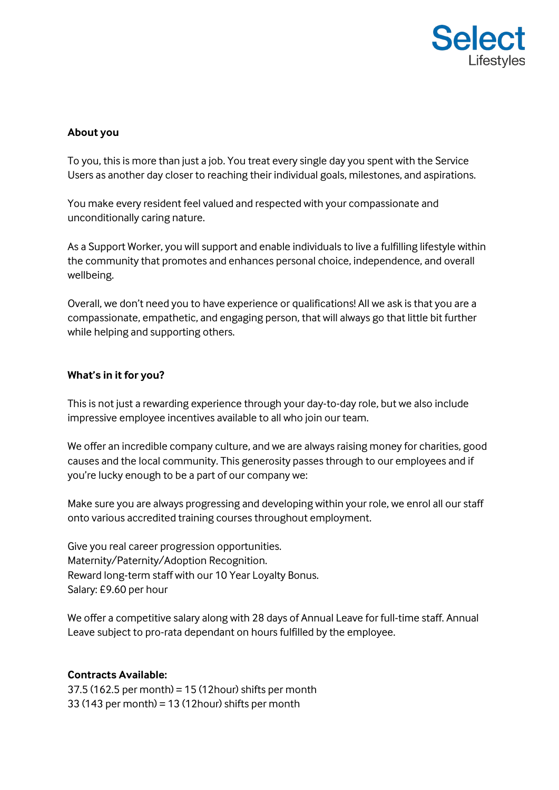

## **About you**

To you, this is more than just a job. You treat every single day you spent with the Service Users as another day closer to reaching their individual goals, milestones, and aspirations.

You make every resident feel valued and respected with your compassionate and unconditionally caring nature.

As a Support Worker, you will support and enable individuals to live a fulfilling lifestyle within the community that promotes and enhances personal choice, independence, and overall wellbeing.

Overall, we don't need you to have experience or qualifications! All we ask is that you are a compassionate, empathetic, and engaging person, that will always go that little bit further while helping and supporting others.

#### **What's in it for you?**

This is not just a rewarding experience through your day-to-day role, but we also include impressive employee incentives available to all who join our team.

We offer an incredible company culture, and we are always raising money for charities, good causes and the local community. This generosity passes through to our employees and if you're lucky enough to be a part of our company we:

Make sure you are always progressing and developing within your role, we enrol all our staff onto various accredited training courses throughout employment.

Give you real career progression opportunities. Maternity/Paternity/Adoption Recognition. Reward long-term staff with our 10 Year Loyalty Bonus. Salary: £9.60 per hour

We offer a competitive salary along with 28 days of Annual Leave for full-time staff. Annual Leave subject to pro-rata dependant on hours fulfilled by the employee.

#### **Contracts Available:**

37.5 (162.5 per month) = 15 (12hour) shifts per month 33 (143 per month) = 13 (12hour) shifts per month